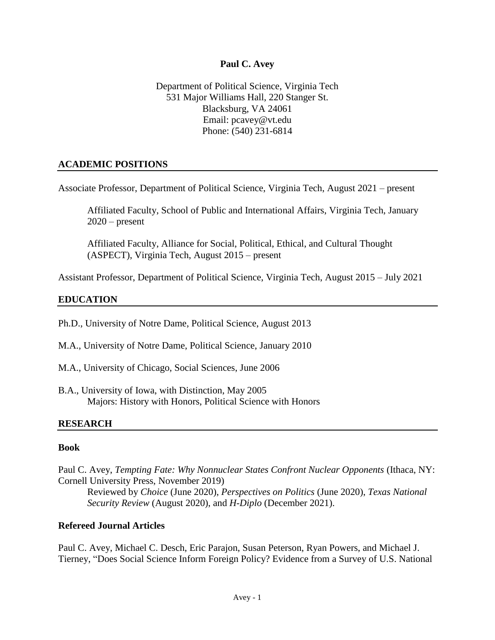### **Paul C. Avey**

Department of Political Science, Virginia Tech 531 Major Williams Hall, 220 Stanger St. Blacksburg, VA 24061 Email: pcavey@vt.edu Phone: (540) 231-6814

## **ACADEMIC POSITIONS**

Associate Professor, Department of Political Science, Virginia Tech, August 2021 – present

Affiliated Faculty, School of Public and International Affairs, Virginia Tech, January  $2020$  – present

Affiliated Faculty, Alliance for Social, Political, Ethical, and Cultural Thought (ASPECT), Virginia Tech, August 2015 – present

Assistant Professor, Department of Political Science, Virginia Tech, August 2015 – July 2021

## **EDUCATION**

Ph.D., University of Notre Dame, Political Science, August 2013

- M.A., University of Notre Dame, Political Science, January 2010
- M.A., University of Chicago, Social Sciences, June 2006
- B.A., University of Iowa, with Distinction, May 2005 Majors: History with Honors, Political Science with Honors

### **RESEARCH**

### **Book**

Paul C. Avey, *Tempting [Fate: Why Nonnuclear States Confront Nuclear Opponents](https://www.cornellpress.cornell.edu/book/9781501755200/tempting-fate/#bookTabs=1)* (Ithaca, NY: Cornell University Press, November 2019)

Reviewed by *Choice* (June 2020), *Perspectives on Politics* (June 2020), *Texas National Security Review* (August 2020), and *H-Diplo* (December 2021).

### **Refereed Journal Articles**

Paul C. Avey, Michael C. Desch, Eric Parajon, Susan Peterson, Ryan Powers, and Michael J. Tierney, ["Does Social Science Inform Foreign Policy? Evidence from a Survey of U.S. National](https://doi.org/10.1093/isq/sqab057)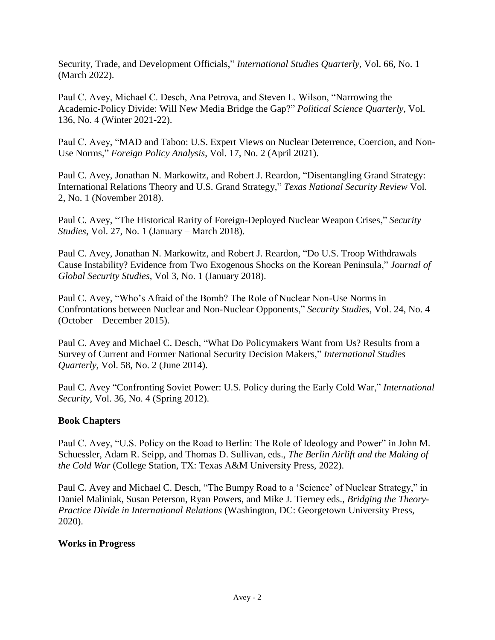[Security, Trade, and Development Officials,](https://doi.org/10.1093/isq/sqab057)" *International Studies Quarterly,* Vol. 66, No. 1 (March 2022).

Paul C. Avey, Michael C. Desch, Ana Petrova, and Steven L. Wilson, ["Narrowing the](https://www.psqonline.org/article.cfm?IDArticle=20233)  [Academic-Policy Divide: Will New Media](https://www.psqonline.org/article.cfm?IDArticle=20233) Bridge the Gap?" *Political Science Quarterly,* Vol. 136, No. 4 (Winter 2021-22).

Paul C. Avey, ["MAD and Taboo: U.S. Expert Views on Nuclear Deterrence, Coercion, and Non-](https://doi.org/10.1093/fpa/oraa019)[Use Norms,](https://doi.org/10.1093/fpa/oraa019)" *Foreign Policy Analysis*, Vol. 17, No. 2 (April 2021).

Paul C. Avey, Jonathan N. Markowitz, and Robert J. Reardon, ["Disentangling Grand Strategy:](http://dx.doi.org/10.26153/tsw/869)  [International Relations Theory and U.S. Grand Strategy,](http://dx.doi.org/10.26153/tsw/869)" *Texas National Security Review* Vol. 2, No. 1 (November 2018).

Paul C. Avey, ["The Historical Rarity of Foreign-Deployed Nuclear Weapon Crises,](https://doi.org/10.1080/09636412.2017.1360076)" *Security Studies*, Vol. 27, No. 1 (January – March 2018).

Paul C. Avey, Jonathan N. Markowitz, and Robert J. Reardon, ["Do U.S. Troop Withdrawals](https://doi.org/10.1093/jogss/ogx020)  [Cause Instability? Evidence from Two Exogenous Shocks on the Korean Peninsula,](https://doi.org/10.1093/jogss/ogx020)" *Journal of Global Security Studies,* Vol 3, No. 1 (January 2018).

Paul C. Avey, ["Who's Afraid of the Bomb? The Role of Nuclear Non-Use Norms in](https://doi.org/10.1080/09636412.2015.1103128)  [Confrontations between Nuclear and Non-Nuclear Opponents,](https://doi.org/10.1080/09636412.2015.1103128)" *Security Studies,* Vol. 24, No. 4 (October – December 2015).

Paul C. Avey and Michael C. Desch, ["What Do Policymakers Want from](https://doi.org/10.1111/isqu.12111) Us? Results from a [Survey of Current and Former National Security Decision](https://doi.org/10.1111/isqu.12111) Makers," *International Studies Quarterly,* Vol. 58, No. 2 (June 2014).

Paul C. Avey ["Confronting Soviet Power: U.S. Policy during the Early Cold War,](https://www.jstor.org/stable/41428123)" *International Security,* Vol. 36, No. 4 (Spring 2012).

## **Book Chapters**

Paul C. Avey, "U.S. Policy on the Road to Berlin: The Role of Ideology and Power" in John M. Schuessler, Adam R. Seipp, and Thomas D. Sullivan, eds., *The Berlin Airlift and the Making of the Cold War* (College Station, TX: Texas A&M University Press, 2022).

Paul C. Avey and Michael C. Desch, "The Bumpy Road to a 'Science' of Nuclear Strategy," in Daniel Maliniak, Susan Peterson, Ryan Powers, and Mike J. Tierney eds., *Bridging the Theory-Practice Divide in International Relations* (Washington, DC: Georgetown University Press, 2020).

### **Works in Progress**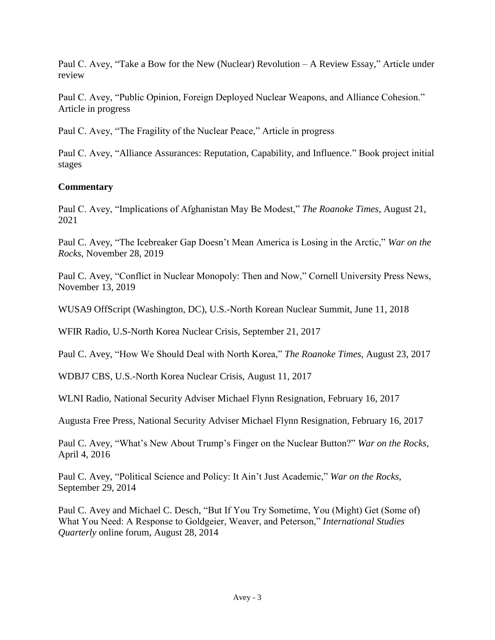Paul C. Avey, "Take a Bow for the New (Nuclear) Revolution – A Review Essay," Article under review

Paul C. Avey, "Public Opinion, Foreign Deployed Nuclear Weapons, and Alliance Cohesion." Article in progress

Paul C. Avey, "The Fragility of the Nuclear Peace," Article in progress

Paul C. Avey, "Alliance Assurances: Reputation, Capability, and Influence." Book project initial stages

# **Commentary**

Paul C. Avey, "Implications of Afghanistan May Be Modest," *The Roanoke Times,* August 21, 2021

Paul C. Avey, "The Icebreaker Gap Doesn't Mean America is Losing in the Arctic," *War on the Rocks*, November 28, 2019

Paul C. Avey, "Conflict in Nuclear Monopoly: Then and Now," Cornell University Press News, November 13, 2019

WUSA9 OffScript (Washington, DC), U.S.-North Korean Nuclear Summit, June 11, 2018

WFIR Radio, U.S-North Korea Nuclear Crisis, September 21, 2017

Paul C. Avey, "How We Should Deal with North Korea," *The Roanoke Times,* August 23, 2017

WDBJ7 CBS, U.S.-North Korea Nuclear Crisis, August 11, 2017

WLNI Radio, National Security Adviser Michael Flynn Resignation, February 16, 2017

Augusta Free Press, National Security Adviser Michael Flynn Resignation, February 16, 2017

Paul C. Avey, "What's New About Trump's Finger on the Nuclear Button?" *War on the Rocks*, April 4, 2016

Paul C. Avey, "Political Science and Policy: It Ain't Just Academic," *War on the Rocks*, September 29, 2014

Paul C. Avey and Michael C. Desch, "But If You Try Sometime, You (Might) Get (Some of) What You Need: A Response to Goldgeier, Weaver, and Peterson," *International Studies Quarterly* online forum, August 28, 2014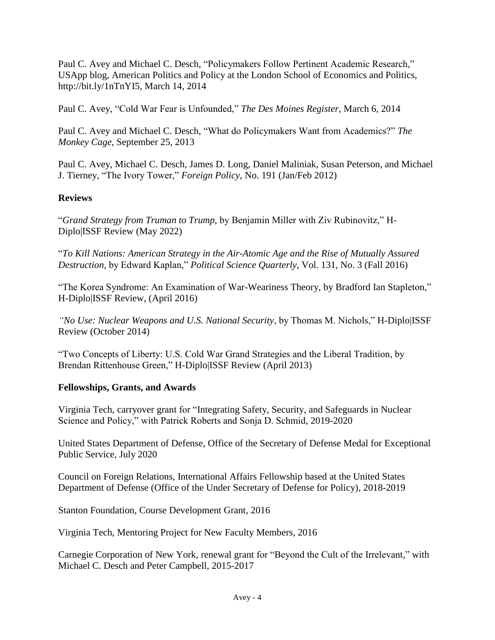Paul C. Avey and Michael C. Desch, "Policymakers Follow Pertinent Academic Research," USApp blog, American Politics and Policy at the London School of Economics and Politics, http://bit.ly/1nTnYI5, March 14, 2014

Paul C. Avey, "Cold War Fear is Unfounded," *The Des Moines Register,* March 6, 2014

Paul C. Avey and Michael C. Desch, "What do Policymakers Want from Academics?" *The Monkey Cage*, September 25, 2013

Paul C. Avey, Michael C. Desch, James D. Long, Daniel Maliniak, Susan Peterson, and Michael J. Tierney, "The Ivory Tower," *Foreign Policy,* No. 191 (Jan/Feb 2012)

# **Reviews**

"*Grand Strategy from Truman to Trump,* by Benjamin Miller with Ziv Rubinovitz," H-Diplo|ISSF Review (May 2022)

"*To Kill Nations: American Strategy in the Air-Atomic Age and the Rise of Mutually Assured Destruction,* by Edward Kaplan," *Political Science Quarterly*, Vol. 131, No. 3 (Fall 2016)

"The Korea Syndrome: An Examination of War-Weariness Theory, by Bradford Ian Stapleton," H-Diplo|ISSF Review, (April 2016)

*"No Use: Nuclear Weapons and U.S. National Security*, by Thomas M. Nichols," H-Diplo|ISSF Review (October 2014)

"Two Concepts of Liberty: U.S. Cold War Grand Strategies and the Liberal Tradition, by Brendan Rittenhouse Green," H-Diplo|ISSF Review (April 2013)

# **Fellowships, Grants, and Awards**

Virginia Tech, carryover grant for "Integrating Safety, Security, and Safeguards in Nuclear Science and Policy," with Patrick Roberts and Sonja D. Schmid, 2019-2020

United States Department of Defense, Office of the Secretary of Defense Medal for Exceptional Public Service, July 2020

Council on Foreign Relations, International Affairs Fellowship based at the United States Department of Defense (Office of the Under Secretary of Defense for Policy), 2018-2019

Stanton Foundation, Course Development Grant, 2016

Virginia Tech, Mentoring Project for New Faculty Members, 2016

Carnegie Corporation of New York, renewal grant for "Beyond the Cult of the Irrelevant," with Michael C. Desch and Peter Campbell, 2015-2017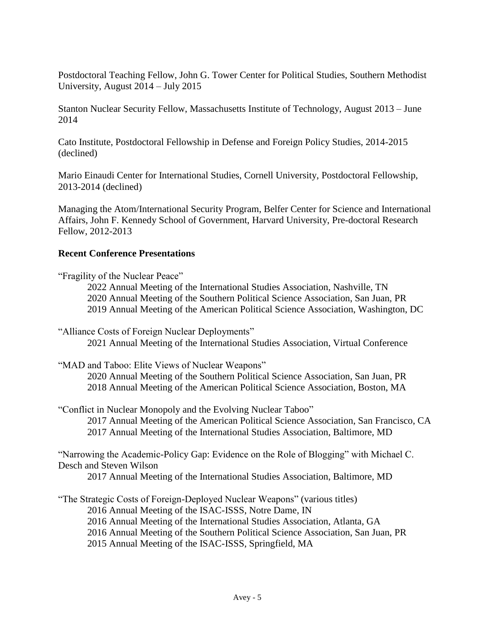Postdoctoral Teaching Fellow, John G. Tower Center for Political Studies, Southern Methodist University, August 2014 – July 2015

Stanton Nuclear Security Fellow, Massachusetts Institute of Technology, August 2013 – June 2014

Cato Institute, Postdoctoral Fellowship in Defense and Foreign Policy Studies, 2014-2015 (declined)

Mario Einaudi Center for International Studies, Cornell University, Postdoctoral Fellowship, 2013-2014 (declined)

Managing the Atom/International Security Program, Belfer Center for Science and International Affairs, John F. Kennedy School of Government, Harvard University, Pre-doctoral Research Fellow, 2012-2013

## **Recent Conference Presentations**

"Fragility of the Nuclear Peace"

2022 Annual Meeting of the International Studies Association, Nashville, TN 2020 Annual Meeting of the Southern Political Science Association, San Juan, PR 2019 Annual Meeting of the American Political Science Association, Washington, DC

"Alliance Costs of Foreign Nuclear Deployments" 2021 Annual Meeting of the International Studies Association, Virtual Conference

"MAD and Taboo: Elite Views of Nuclear Weapons"

2020 Annual Meeting of the Southern Political Science Association, San Juan, PR 2018 Annual Meeting of the American Political Science Association, Boston, MA

"Conflict in Nuclear Monopoly and the Evolving Nuclear Taboo" 2017 Annual Meeting of the American Political Science Association, San Francisco, CA

2017 Annual Meeting of the International Studies Association, Baltimore, MD

"Narrowing the Academic-Policy Gap: Evidence on the Role of Blogging" with Michael C. Desch and Steven Wilson

2017 Annual Meeting of the International Studies Association, Baltimore, MD

"The Strategic Costs of Foreign-Deployed Nuclear Weapons" (various titles)

2016 Annual Meeting of the ISAC-ISSS, Notre Dame, IN

2016 Annual Meeting of the International Studies Association, Atlanta, GA

2016 Annual Meeting of the Southern Political Science Association, San Juan, PR

2015 Annual Meeting of the ISAC-ISSS, Springfield, MA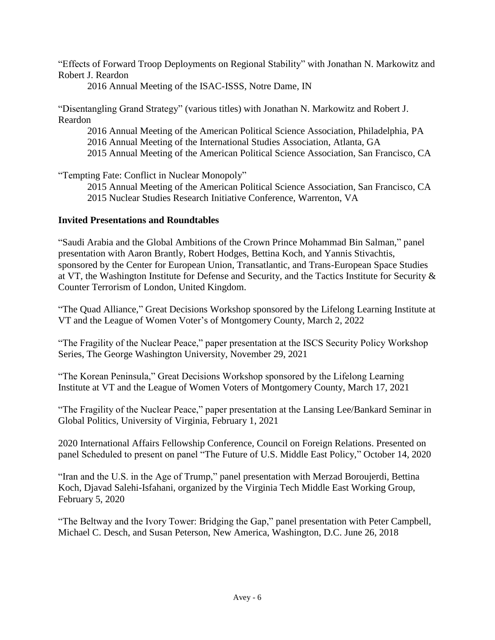"Effects of Forward Troop Deployments on Regional Stability" with Jonathan N. Markowitz and Robert J. Reardon

2016 Annual Meeting of the ISAC-ISSS, Notre Dame, IN

"Disentangling Grand Strategy" (various titles) with Jonathan N. Markowitz and Robert J. Reardon

2016 Annual Meeting of the American Political Science Association, Philadelphia, PA 2016 Annual Meeting of the International Studies Association, Atlanta, GA 2015 Annual Meeting of the American Political Science Association, San Francisco, CA

"Tempting Fate: Conflict in Nuclear Monopoly"

2015 Annual Meeting of the American Political Science Association, San Francisco, CA 2015 Nuclear Studies Research Initiative Conference, Warrenton, VA

## **Invited Presentations and Roundtables**

"Saudi Arabia and the Global Ambitions of the Crown Prince Mohammad Bin Salman," panel presentation with Aaron Brantly, Robert Hodges, Bettina Koch, and Yannis Stivachtis, sponsored by the Center for European Union, Transatlantic, and Trans-European Space Studies at VT, the Washington Institute for Defense and Security, and the Tactics Institute for Security & Counter Terrorism of London, United Kingdom.

"The Quad Alliance," Great Decisions Workshop sponsored by the Lifelong Learning Institute at VT and the League of Women Voter's of Montgomery County, March 2, 2022

"The Fragility of the Nuclear Peace," paper presentation at the ISCS Security Policy Workshop Series, The George Washington University, November 29, 2021

"The Korean Peninsula," Great Decisions Workshop sponsored by the Lifelong Learning Institute at VT and the League of Women Voters of Montgomery County, March 17, 2021

"The Fragility of the Nuclear Peace," paper presentation at the Lansing Lee/Bankard Seminar in Global Politics, University of Virginia, February 1, 2021

2020 International Affairs Fellowship Conference, Council on Foreign Relations. Presented on panel Scheduled to present on panel "The Future of U.S. Middle East Policy," October 14, 2020

"Iran and the U.S. in the Age of Trump," panel presentation with Merzad Boroujerdi, Bettina Koch, Djavad Salehi-Isfahani, organized by the Virginia Tech Middle East Working Group, February 5, 2020

"The Beltway and the Ivory Tower: Bridging the Gap," panel presentation with Peter Campbell, Michael C. Desch, and Susan Peterson, New America, Washington, D.C. June 26, 2018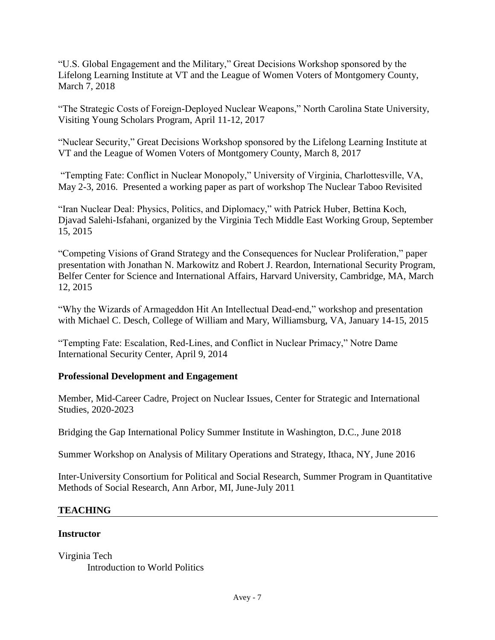"U.S. Global Engagement and the Military," Great Decisions Workshop sponsored by the Lifelong Learning Institute at VT and the League of Women Voters of Montgomery County, March 7, 2018

"The Strategic Costs of Foreign-Deployed Nuclear Weapons," North Carolina State University, Visiting Young Scholars Program, April 11-12, 2017

"Nuclear Security," Great Decisions Workshop sponsored by the Lifelong Learning Institute at VT and the League of Women Voters of Montgomery County, March 8, 2017

"Tempting Fate: Conflict in Nuclear Monopoly," University of Virginia, Charlottesville, VA, May 2-3, 2016. Presented a working paper as part of workshop The Nuclear Taboo Revisited

"Iran Nuclear Deal: Physics, Politics, and Diplomacy," with Patrick Huber, Bettina Koch, Djavad Salehi-Isfahani, organized by the Virginia Tech Middle East Working Group, September 15, 2015

"Competing Visions of Grand Strategy and the Consequences for Nuclear Proliferation," paper presentation with Jonathan N. Markowitz and Robert J. Reardon, International Security Program, Belfer Center for Science and International Affairs, Harvard University, Cambridge, MA, March 12, 2015

"Why the Wizards of Armageddon Hit An Intellectual Dead-end," workshop and presentation with Michael C. Desch, College of William and Mary, Williamsburg, VA, January 14-15, 2015

"Tempting Fate: Escalation, Red-Lines, and Conflict in Nuclear Primacy," Notre Dame International Security Center, April 9, 2014

## **Professional Development and Engagement**

Member, Mid-Career Cadre, Project on Nuclear Issues, Center for Strategic and International Studies, 2020-2023

Bridging the Gap International Policy Summer Institute in Washington, D.C., June 2018

Summer Workshop on Analysis of Military Operations and Strategy, Ithaca, NY, June 2016

Inter-University Consortium for Political and Social Research, Summer Program in Quantitative Methods of Social Research, Ann Arbor, MI, June-July 2011

## **TEACHING**

### **Instructor**

Virginia Tech Introduction to World Politics